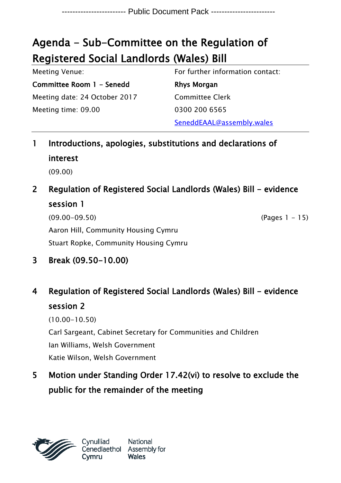# Agenda - Sub-Committee on the Regulation of Registered Social Landlords (Wales) Bill

| Meeting Venue:                | For further information contact: |
|-------------------------------|----------------------------------|
| Committee Room 1 - Senedd     | Rhys Morgan                      |
| Meeting date: 24 October 2017 | <b>Committee Clerk</b>           |
| Meeting time: 09.00           | 0300 200 6565                    |
|                               | SeneddEAAL@assembly.wales        |

- 1 Introductions, apologies, substitutions and declarations of interest (09.00)
- 2 Regulation of Registered Social Landlords (Wales) Bill evidence session 1

(09.00-09.50) (Pages 1 - 15) Aaron Hill, Community Housing Cymru Stuart Ropke, Community Housing Cymru

3 Break (09.50-10.00)

# 4 Regulation of Registered Social Landlords (Wales) Bill - evidence session 2

(10.00-10.50) Carl Sargeant, Cabinet Secretary for Communities and Children Ian Williams, Welsh Government Katie Wilson, Welsh Government

5 Motion under Standing Order 17.42(vi) to resolve to exclude the public for the remainder of the meeting



National Cenedlaethol Assembly for **Wales**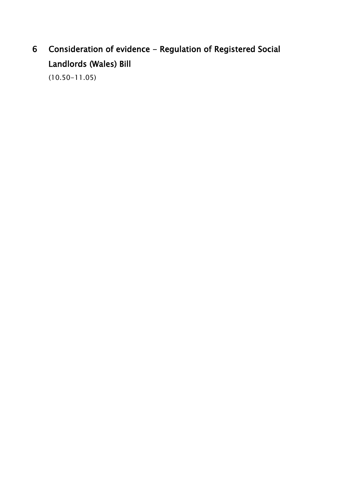# 6 Consideration of evidence - Regulation of Registered Social Landlords (Wales) Bill

(10.50-11.05)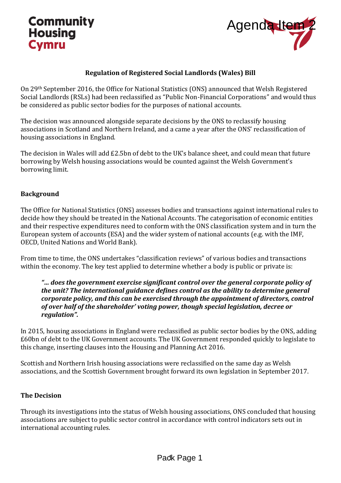### **Community Housing Cymru**



### **Regulation of Registered Social Landlords (Wales) Bill**

On 29th September 2016, the Office for National Statistics (ONS) announced that Welsh Registered Social Landlords (RSLs) had been reclassified as "Public Non-Financial Corporations" and would thus be considered as public sector bodies for the purposes of national accounts.

The decision was announced alongside separate decisions by the ONS to reclassify housing associations in Scotland and Northern Ireland, and a came a year after the ONS' reclassification of housing associations in England.

The decision in Wales will add £2.5bn of debt to the UK's balance sheet, and could mean that future borrowing by Welsh housing associations would be counted against the Welsh Government's borrowing limit.

#### **Background**

The Office for National Statistics (ONS) assesses bodies and transactions against international rules to decide how they should be treated in the National Accounts. The categorisation of economic entities and their respective expenditures need to conform with the ONS classification system and in turn the European system of accounts (ESA) and the wider system of national accounts (e.g. with the IMF, OECD, United Nations and World Bank). Agenda Item<br>
1988<br>
Advistics (ONS) announced that Welsh Registered<br>
1988<br>
Satistics (ONS) announced that Welsh Registered<br>
Satistics (ONS) announced that Welsh Registered<br>
are decisions by the ONS to reclassify housing<br>
an

From time to time, the ONS undertakes "classification reviews" of various bodies and transactions within the economy. The key test applied to determine whether a body is public or private is:

#### *"… does the government exercise significant control over the general corporate policy of the unit? The international guidance defines control as the ability to determine general corporate policy, and this can be exercised through the appointment of directors, control of over half of the shareholder' voting power, though special legislation, decree or regulation".*

In 2015, housing associations in England were reclassified as public sector bodies by the ONS, adding £60bn of debt to the UK Government accounts. The UK Government responded quickly to legislate to this change, inserting clauses into the Housing and Planning Act 2016.

Scottish and Northern Irish housing associations were reclassified on the same day as Welsh associations, and the Scottish Government brought forward its own legislation in September 2017.

### **The Decision**

Through its investigations into the status of Welsh housing associations, ONS concluded that housing associations are subject to public sector control in accordance with control indicators sets out in international accounting rules.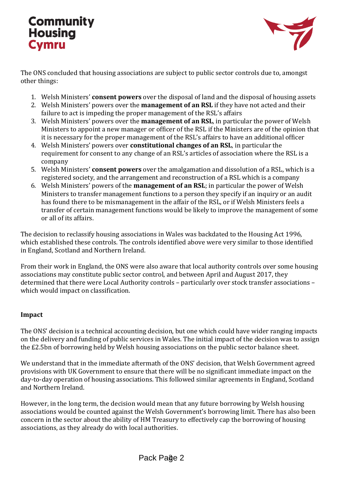### **Community Housing Cymru**



The ONS concluded that housing associations are subject to public sector controls due to, amongst other things:

- 1. Welsh Ministers' **consent powers** over the disposal of land and the disposal of housing assets
- 2. Welsh Ministers' powers over the **management of an RSL** if they have not acted and their failure to act is impeding the proper management of the RSL's affairs
- 3. Welsh Ministers' powers over the **management of an RSL**, in particular the power of Welsh Ministers to appoint a new manager or officer of the RSL if the Ministers are of the opinion that it is necessary for the proper management of the RSL's affairs to have an additional officer
- 4. Welsh Ministers' powers over **constitutional changes of an RSL**, in particular the requirement for consent to any change of an RSL's articles of association where the RSL is a company
- 5. Welsh Ministers' **consent powers** over the amalgamation and dissolution of a RSL, which is a registered society, and the arrangement and reconstruction of a RSL which is a company
- 6. Welsh Ministers' powers of the **management of an RSL**; in particular the power of Welsh Ministers to transfer management functions to a person they specify if an inquiry or an audit has found there to be mismanagement in the affair of the RSL, or if Welsh Ministers feels a transfer of certain management functions would be likely to improve the management of some or all of its affairs.

The decision to reclassify housing associations in Wales was backdated to the Housing Act 1996, which established these controls. The controls identified above were very similar to those identified in England, Scotland and Northern Ireland.

From their work in England, the ONS were also aware that local authority controls over some housing associations may constitute public sector control, and between April and August 2017, they determined that there were Local Authority controls – particularly over stock transfer associations – which would impact on classification.

### **Impact**

The ONS' decision is a technical accounting decision, but one which could have wider ranging impacts on the delivery and funding of public services in Wales. The initial impact of the decision was to assign the £2.5bn of borrowing held by Welsh housing associations on the public sector balance sheet.

We understand that in the immediate aftermath of the ONS' decision, that Welsh Government agreed provisions with UK Government to ensure that there will be no significant immediate impact on the day-to-day operation of housing associations. This followed similar agreements in England, Scotland and Northern Ireland.

However, in the long term, the decision would mean that any future borrowing by Welsh housing associations would be counted against the Welsh Government's borrowing limit. There has also been concern in the sector about the ability of HM Treasury to effectively cap the borrowing of housing associations, as they already do with local authorities.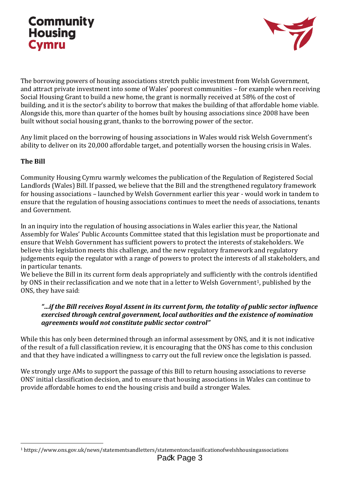## **Community Housing Cymru**



The borrowing powers of housing associations stretch public investment from Welsh Government, and attract private investment into some of Wales' poorest communities – for example when receiving Social Housing Grant to build a new home, the grant is normally received at 58% of the cost of building, and it is the sector's ability to borrow that makes the building of that affordable home viable. Alongside this, more than quarter of the homes built by housing associations since 2008 have been built without social housing grant, thanks to the borrowing power of the sector.

Any limit placed on the borrowing of housing associations in Wales would risk Welsh Government's ability to deliver on its 20,000 affordable target, and potentially worsen the housing crisis in Wales.

### **The Bill**

 $\overline{a}$ 

Community Housing Cymru warmly welcomes the publication of the Regulation of Registered Social Landlords (Wales) Bill. If passed, we believe that the Bill and the strengthened regulatory framework for housing associations – launched by Welsh Government earlier this year - would work in tandem to ensure that the regulation of housing associations continues to meet the needs of associations, tenants and Government.

In an inquiry into the regulation of housing associations in Wales earlier this year, the National Assembly for Wales' Public Accounts Committee stated that this legislation must be proportionate and ensure that Welsh Government has sufficient powers to protect the interests of stakeholders. We believe this legislation meets this challenge, and the new regulatory framework and regulatory judgements equip the regulator with a range of powers to protect the interests of all stakeholders, and in particular tenants.

We believe the Bill in its current form deals appropriately and sufficiently with the controls identified by ONS in their reclassification and we note that in a letter to Welsh Government<sup>1</sup>, published by the ONS, they have said:

#### *"…if the Bill receives Royal Assent in its current form, the totality of public sector influence exercised through central government, local authorities and the existence of nomination agreements would not constitute public sector control"*

While this has only been determined through an informal assessment by ONS, and it is not indicative of the result of a full classification review, it is encouraging that the ONS has come to this conclusion and that they have indicated a willingness to carry out the full review once the legislation is passed.

We strongly urge AMs to support the passage of this Bill to return housing associations to reverse ONS' initial classification decision, and to ensure that housing associations in Wales can continue to provide affordable homes to end the housing crisis and build a stronger Wales.

<sup>1</sup> https://www.ons.gov.uk/news/statementsandletters/statementonclassificationofwelshhousingassociations